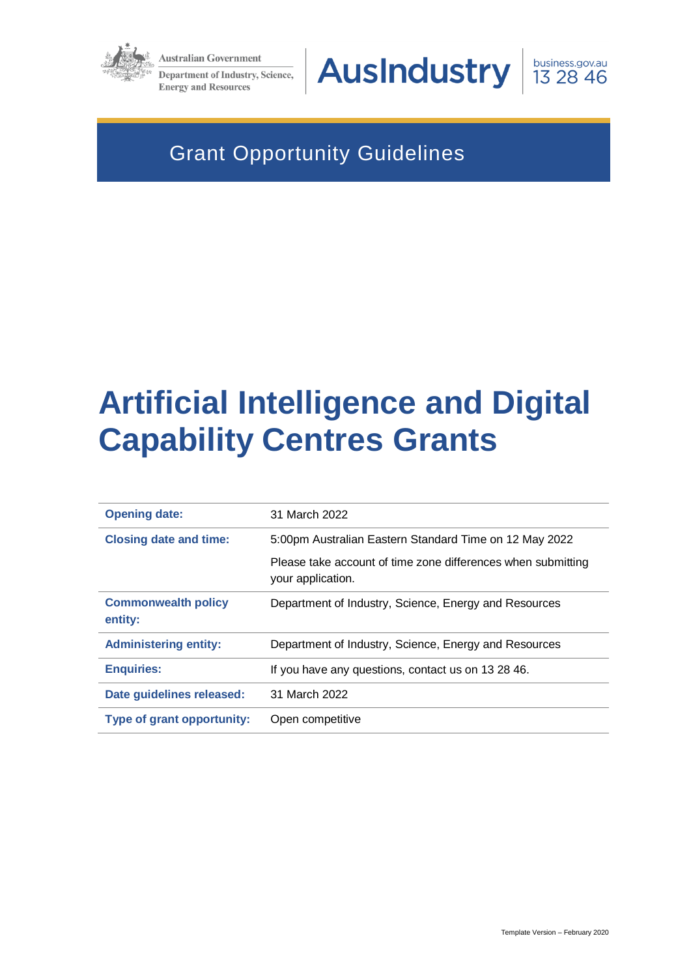

**Australian Government Department of Industry, Science, Energy and Resources** 



business.gov.au 13 28 46

# Grant Opportunity Guidelines

# **Artificial Intelligence and Digital Capability Centres Grants**

| <b>Opening date:</b>                  | 31 March 2022                                                                     |
|---------------------------------------|-----------------------------------------------------------------------------------|
| <b>Closing date and time:</b>         | 5:00pm Australian Eastern Standard Time on 12 May 2022                            |
|                                       | Please take account of time zone differences when submitting<br>your application. |
| <b>Commonwealth policy</b><br>entity: | Department of Industry, Science, Energy and Resources                             |
| <b>Administering entity:</b>          | Department of Industry, Science, Energy and Resources                             |
| <b>Enquiries:</b>                     | If you have any questions, contact us on 13 28 46.                                |
| Date guidelines released:             | 31 March 2022                                                                     |
| <b>Type of grant opportunity:</b>     | Open competitive                                                                  |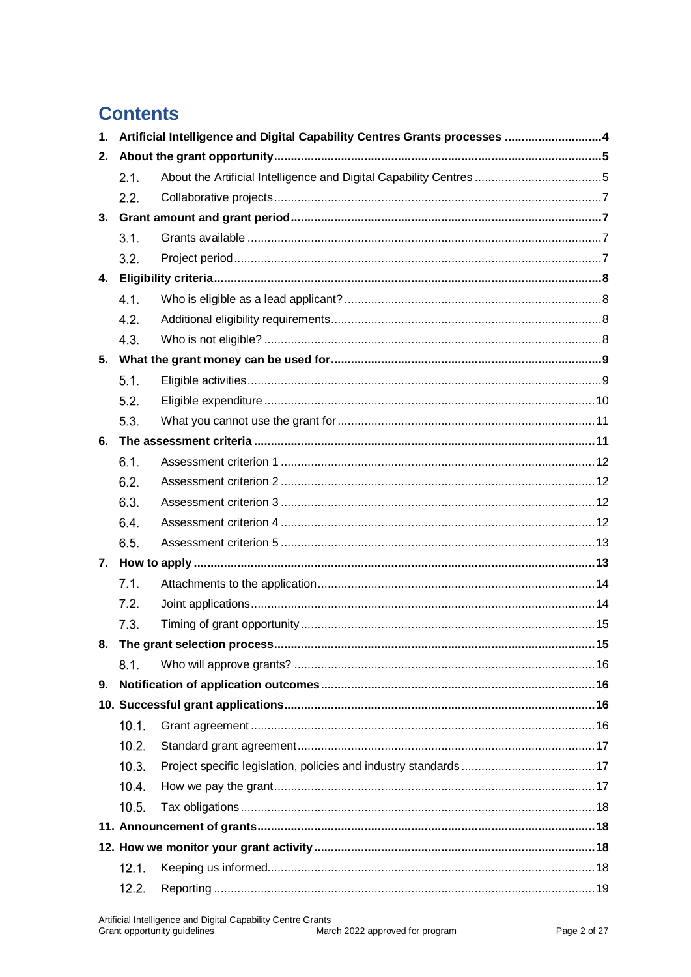# **Contents**

| 1. | Artificial Intelligence and Digital Capability Centres Grants processes  4 |                                                                    |  |
|----|----------------------------------------------------------------------------|--------------------------------------------------------------------|--|
| 2. |                                                                            |                                                                    |  |
|    | 2.1.                                                                       | About the Artificial Intelligence and Digital Capability Centres 5 |  |
|    | 2.2.                                                                       |                                                                    |  |
| 3. |                                                                            |                                                                    |  |
|    | 3.1.                                                                       |                                                                    |  |
|    | 3.2.                                                                       |                                                                    |  |
| 4. |                                                                            |                                                                    |  |
|    | 4.1.                                                                       |                                                                    |  |
|    | 4.2.                                                                       |                                                                    |  |
|    | 4.3.                                                                       |                                                                    |  |
| 5. |                                                                            |                                                                    |  |
|    | 5.1.                                                                       |                                                                    |  |
|    | 5.2.                                                                       |                                                                    |  |
|    | 5.3.                                                                       |                                                                    |  |
| 6. |                                                                            |                                                                    |  |
|    | 6.1.                                                                       |                                                                    |  |
|    | 6.2.                                                                       |                                                                    |  |
|    | 6.3.                                                                       |                                                                    |  |
|    | 6.4.                                                                       |                                                                    |  |
|    | 6.5.                                                                       |                                                                    |  |
|    |                                                                            |                                                                    |  |
|    | 7.1.                                                                       |                                                                    |  |
|    | 7.2.                                                                       |                                                                    |  |
|    | 7.3.                                                                       |                                                                    |  |
| 8. |                                                                            | The grant selection process<br>. 15                                |  |
|    | 8.1.                                                                       |                                                                    |  |
| 9. |                                                                            |                                                                    |  |
|    |                                                                            |                                                                    |  |
|    | 10.1.                                                                      |                                                                    |  |
|    | 10.2.                                                                      |                                                                    |  |
|    | 10.3.                                                                      |                                                                    |  |
|    | 10.4.                                                                      |                                                                    |  |
|    | 10.5.                                                                      |                                                                    |  |
|    |                                                                            |                                                                    |  |
|    |                                                                            |                                                                    |  |
|    | 12.1.                                                                      |                                                                    |  |
|    | 12.2.                                                                      |                                                                    |  |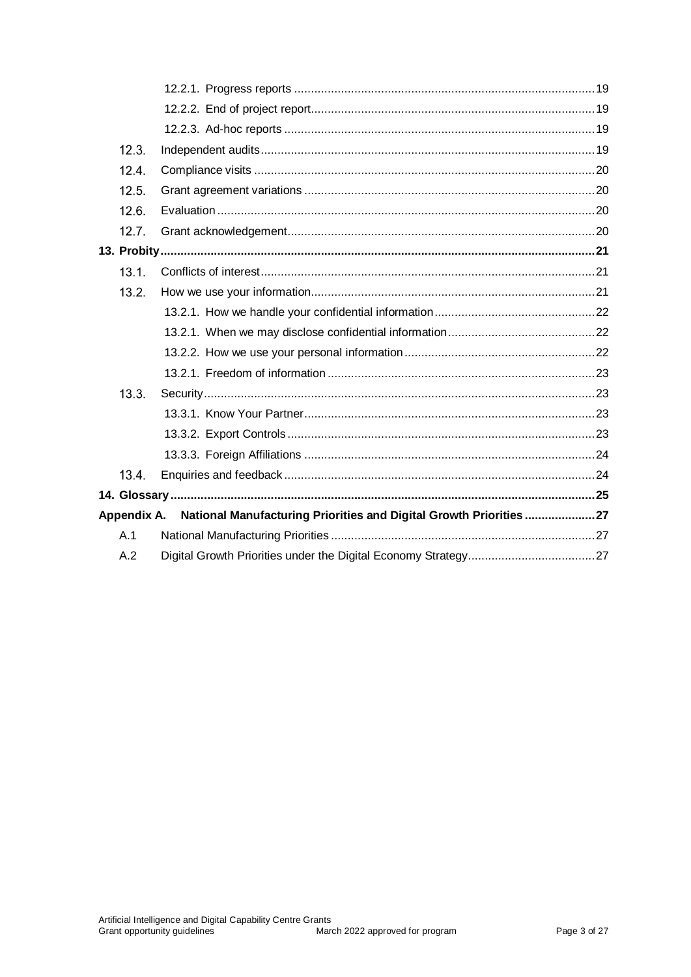| 12.3. |                                                                                |  |
|-------|--------------------------------------------------------------------------------|--|
| 12.4. |                                                                                |  |
| 12.5. |                                                                                |  |
| 12.6. |                                                                                |  |
| 12.7. |                                                                                |  |
|       |                                                                                |  |
| 13.1. |                                                                                |  |
| 13.2. |                                                                                |  |
|       |                                                                                |  |
|       |                                                                                |  |
|       |                                                                                |  |
|       |                                                                                |  |
| 13.3. |                                                                                |  |
|       |                                                                                |  |
|       |                                                                                |  |
|       |                                                                                |  |
| 13.4  |                                                                                |  |
|       |                                                                                |  |
|       | Appendix A. National Manufacturing Priorities and Digital Growth Priorities 27 |  |
| A.1   |                                                                                |  |
| A.2   |                                                                                |  |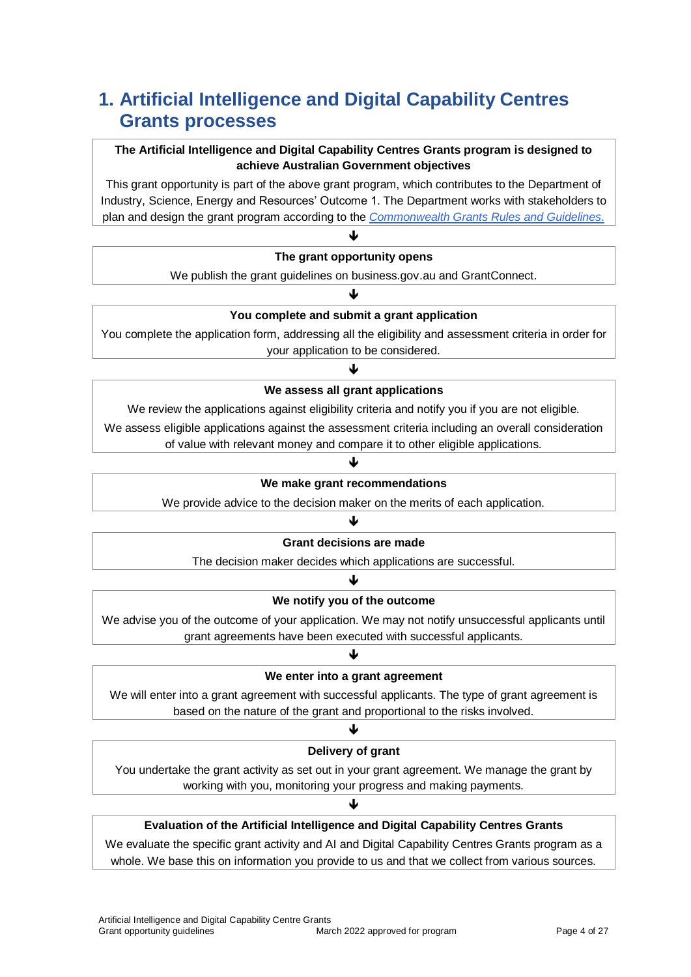# **1. Artificial Intelligence and Digital Capability Centres Grants processes**

#### **The Artificial Intelligence and Digital Capability Centres Grants program is designed to achieve Australian Government objectives**

This grant opportunity is part of the above grant program, which contributes to the Department of Industry, Science, Energy and Resources' Outcome 1. The Department works with stakeholders to plan and design the grant program according to the *[Commonwealth Grants Rules](https://www.finance.gov.au/government/commonwealth-grants/commonwealth-grants-rules-guidelines) and Guidelines*.

| The grant opportunity opens                                          |  |
|----------------------------------------------------------------------|--|
| We publish the grant guidelines on business.gov.au and GrantConnect. |  |
|                                                                      |  |

#### **You complete and submit a grant application**

You complete the application form, addressing all the eligibility and assessment criteria in order for your application to be considered.

#### ♦

#### **We assess all grant applications**

We review the applications against eligibility criteria and notify you if you are not eligible.

We assess eligible applications against the assessment criteria including an overall consideration of value with relevant money and compare it to other eligible applications.

#### J

#### **We make grant recommendations**

We provide advice to the decision maker on the merits of each application.

#### ሇ **Grant decisions are made**

The decision maker decides which applications are successful.

### ↓ **We notify you of the outcome**

We advise you of the outcome of your application. We may not notify unsuccessful applicants until grant agreements have been executed with successful applicants.

# J

#### **We enter into a grant agreement**

We will enter into a grant agreement with successful applicants. The type of grant agreement is based on the nature of the grant and proportional to the risks involved.

# ψ **Delivery of grant**

You undertake the grant activity as set out in your grant agreement. We manage the grant by working with you, monitoring your progress and making payments.

J

### **Evaluation of the Artificial Intelligence and Digital Capability Centres Grants**

We evaluate the specific grant activity and AI and Digital Capability Centres Grants program as a whole. We base this on information you provide to us and that we collect from various sources.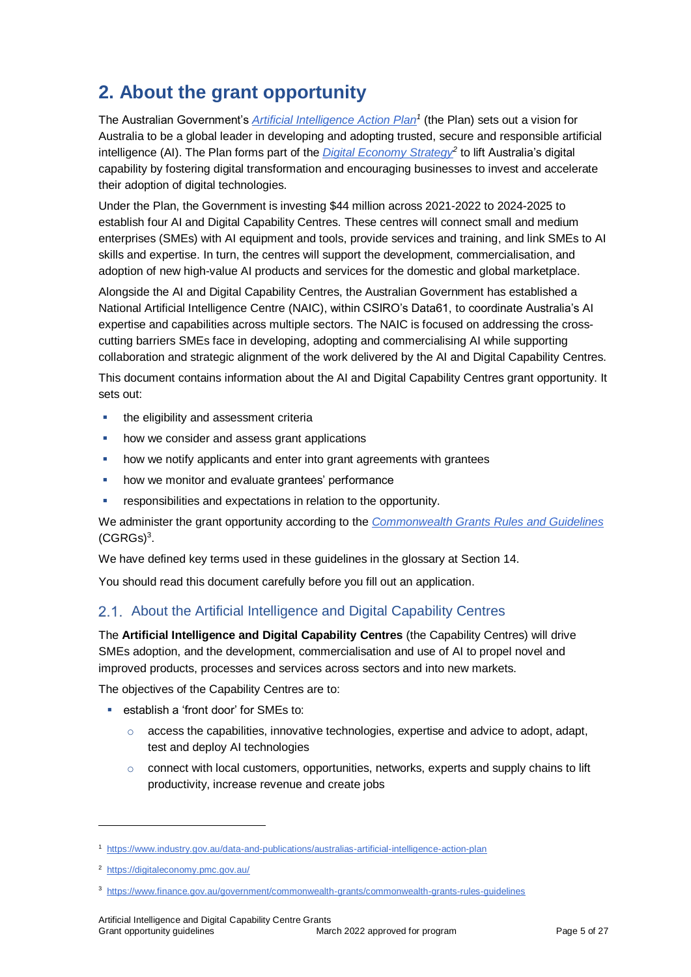# **2. About the grant opportunity**

The Australian Government's *[Artificial Intelligence Action Plan](https://www.industry.gov.au/data-and-publications/australias-artificial-intelligence-action-plan/how-ai-is-transforming-australia)<sup>1</sup>* (the Plan) sets out a vision for Australia to be a global leader in developing and adopting trusted, secure and responsible artificial intelligence (AI). The Plan forms part of the *[Digital Economy Strategy](https://digitaleconomy.pmc.gov.au/)<sup>2</sup>* to lift Australia's digital capability by fostering digital transformation and encouraging businesses to invest and accelerate their adoption of digital technologies.

Under the Plan, the Government is investing \$44 million across 2021-2022 to 2024-2025 to establish four AI and Digital Capability Centres. These centres will connect small and medium enterprises (SMEs) with AI equipment and tools, provide services and training, and link SMEs to AI skills and expertise. In turn, the centres will support the development, commercialisation, and adoption of new high-value AI products and services for the domestic and global marketplace.

Alongside the AI and Digital Capability Centres, the Australian Government has established a National Artificial Intelligence Centre (NAIC), within CSIRO's Data61, to coordinate Australia's AI expertise and capabilities across multiple sectors. The NAIC is focused on addressing the crosscutting barriers SMEs face in developing, adopting and commercialising AI while supporting collaboration and strategic alignment of the work delivered by the AI and Digital Capability Centres.

This document contains information about the AI and Digital Capability Centres grant opportunity. It sets out:

- **the eligibility and assessment criterially**
- how we consider and assess grant applications
- how we notify applicants and enter into grant agreements with grantees
- how we monitor and evaluate grantees' performance
- **F** responsibilities and expectations in relation to the opportunity.

We administer the grant opportunity according to the *[Commonwealth Grants Rules and Guidelines](https://www.finance.gov.au/government/commonwealth-grants/commonwealth-grants-rules-guidelines)*  $(CGRGs)<sup>3</sup>$  $(CGRGs)<sup>3</sup>$ .

We have defined key terms used in these guidelines in the glossary at Sectio[n 14.](#page-24-0)

You should read this document carefully before you fill out an application.

### 2.1. About the Artificial Intelligence and Digital Capability Centres

The **Artificial Intelligence and Digital Capability Centres** (the Capability Centres) will drive SMEs adoption, and the development, commercialisation and use of AI to propel novel and improved products, processes and services across sectors and into new markets.

The objectives of the Capability Centres are to:

- establish a 'front door' for SMEs to:
	- $\circ$  access the capabilities, innovative technologies, expertise and advice to adopt, adapt, test and deploy AI technologies
	- $\circ$  connect with local customers, opportunities, networks, experts and supply chains to lift productivity, increase revenue and create jobs

l

<sup>1</sup> <https://www.industry.gov.au/data-and-publications/australias-artificial-intelligence-action-plan>

<sup>&</sup>lt;sup>2</sup><https://digitaleconomy.pmc.gov.au/>

<sup>3</sup> <https://www.finance.gov.au/government/commonwealth-grants/commonwealth-grants-rules-guidelines>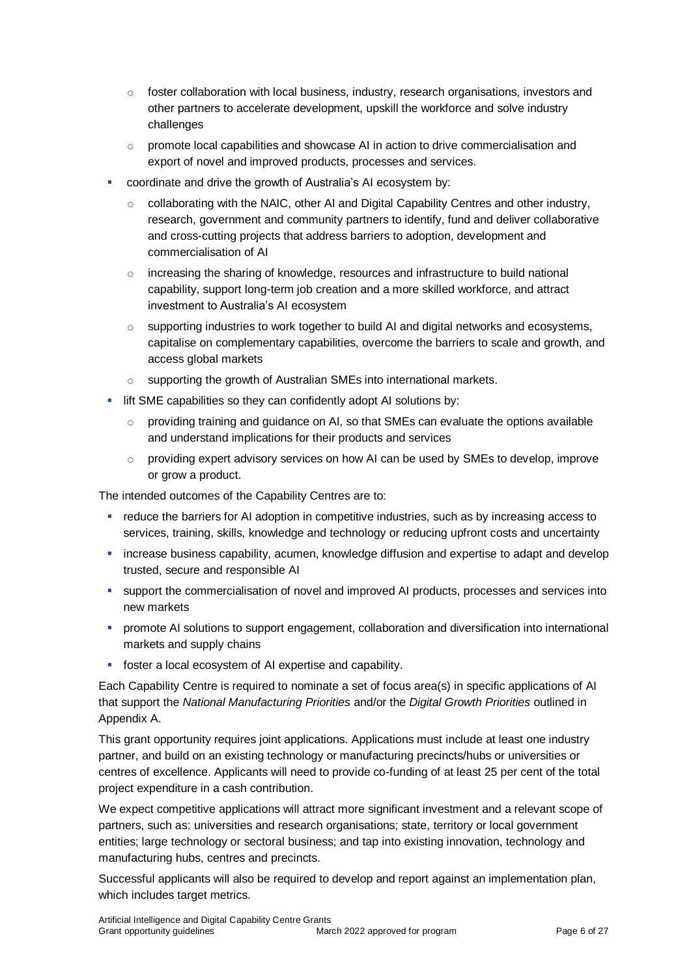- $\circ$  foster collaboration with local business, industry, research organisations, investors and other partners to accelerate development, upskill the workforce and solve industry challenges
- o promote local capabilities and showcase AI in action to drive commercialisation and export of novel and improved products, processes and services.
- coordinate and drive the growth of Australia's AI ecosystem by:
	- $\circ$  collaborating with the NAIC, other AI and Digital Capability Centres and other industry, research, government and community partners to identify, fund and deliver collaborative and cross-cutting projects that address barriers to adoption, development and commercialisation of AI
	- $\circ$  increasing the sharing of knowledge, resources and infrastructure to build national capability, support long-term job creation and a more skilled workforce, and attract investment to Australia's AI ecosystem
	- $\circ$  supporting industries to work together to build AI and digital networks and ecosystems, capitalise on complementary capabilities, overcome the barriers to scale and growth, and access global markets
	- o supporting the growth of Australian SMEs into international markets.
- **I** lift SME capabilities so they can confidently adopt AI solutions by:
	- $\circ$  providing training and guidance on AI, so that SMEs can evaluate the options available and understand implications for their products and services
	- $\circ$  providing expert advisory services on how AI can be used by SMEs to develop, improve or grow a product.

The intended outcomes of the Capability Centres are to:

- reduce the barriers for AI adoption in competitive industries, such as by increasing access to services, training, skills, knowledge and technology or reducing upfront costs and uncertainty
- increase business capability, acumen, knowledge diffusion and expertise to adapt and develop trusted, secure and responsible AI
- support the commercialisation of novel and improved AI products, processes and services into new markets
- **•** promote AI solutions to support engagement, collaboration and diversification into international markets and supply chains
- foster a local ecosystem of AI expertise and capability.

Each Capability Centre is required to nominate a set of focus area(s) in specific applications of AI that support the *National Manufacturing Priorities* and/or the *Digital Growth Priorities* outlined in Appendix A.

This grant opportunity requires joint applications. Applications must include at least one industry partner, and build on an existing technology or manufacturing precincts/hubs or universities or centres of excellence. Applicants will need to provide co-funding of at least 25 per cent of the total project expenditure in a cash contribution.

We expect competitive applications will attract more significant investment and a relevant scope of partners, such as: universities and research organisations; state, territory or local government entities; large technology or sectoral business; and tap into existing innovation, technology and manufacturing hubs, centres and precincts.

Successful applicants will also be required to develop and report against an implementation plan, which includes target metrics.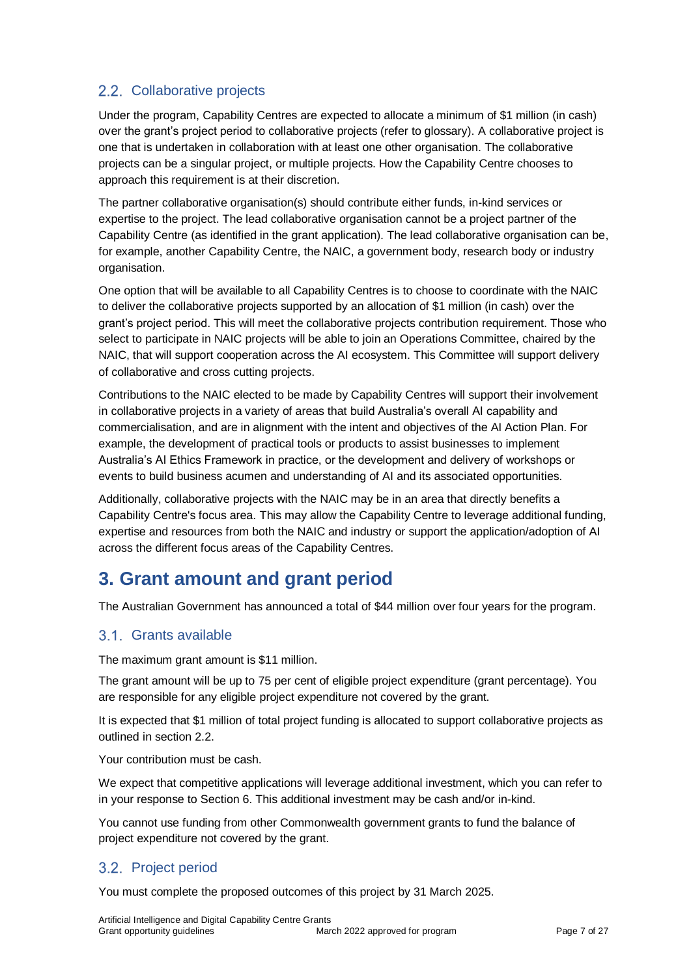# 2.2. Collaborative projects

Under the program, Capability Centres are expected to allocate a minimum of \$1 million (in cash) over the grant's project period to collaborative projects (refer to glossary). A collaborative project is one that is undertaken in collaboration with at least one other organisation. The collaborative projects can be a singular project, or multiple projects. How the Capability Centre chooses to approach this requirement is at their discretion.

The partner collaborative organisation(s) should contribute either funds, in-kind services or expertise to the project. The lead collaborative organisation cannot be a project partner of the Capability Centre (as identified in the grant application). The lead collaborative organisation can be, for example, another Capability Centre, the NAIC, a government body, research body or industry organisation.

One option that will be available to all Capability Centres is to choose to coordinate with the NAIC to deliver the collaborative projects supported by an allocation of \$1 million (in cash) over the grant's project period. This will meet the collaborative projects contribution requirement. Those who select to participate in NAIC projects will be able to join an Operations Committee, chaired by the NAIC, that will support cooperation across the AI ecosystem. This Committee will support delivery of collaborative and cross cutting projects.

Contributions to the NAIC elected to be made by Capability Centres will support their involvement in collaborative projects in a variety of areas that build Australia's overall AI capability and commercialisation, and are in alignment with the intent and objectives of the AI Action Plan. For example, the development of practical tools or products to assist businesses to implement Australia's AI Ethics Framework in practice, or the development and delivery of workshops or events to build business acumen and understanding of AI and its associated opportunities.

Additionally, collaborative projects with the NAIC may be in an area that directly benefits a Capability Centre's focus area. This may allow the Capability Centre to leverage additional funding, expertise and resources from both the NAIC and industry or support the application/adoption of AI across the different focus areas of the Capability Centres.

# **3. Grant amount and grant period**

The Australian Government has announced a total of \$44 million over four years for the program.

### Grants available

The maximum grant amount is \$11 million.

The grant amount will be up to 75 per cent of eligible project expenditure (grant percentage). You are responsible for any eligible project expenditure not covered by the grant.

It is expected that \$1 million of total project funding is allocated to support collaborative projects as outlined in section 2.2.

Your contribution must be cash.

We expect that competitive applications will leverage additional investment, which you can refer to in your response to Section 6. This additional investment may be cash and/or in-kind.

You cannot use funding from other Commonwealth government grants to fund the balance of project expenditure not covered by the grant.

# 3.2. Project period

You must complete the proposed outcomes of this project by 31 March 2025.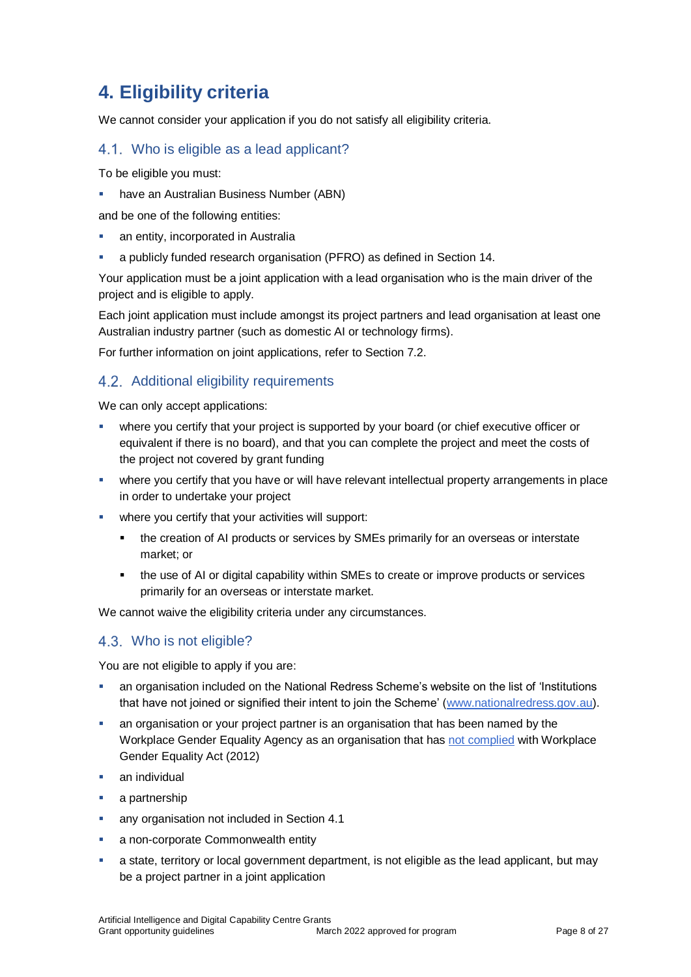# **4. Eligibility criteria**

We cannot consider your application if you do not satisfy all eligibility criteria.

#### <span id="page-7-0"></span>4.1. Who is eligible as a lead applicant?

To be eligible you must:

have an Australian Business Number (ABN)

and be one of the following entities:

- an entity, incorporated in Australia
- a publicly funded research organisation (PFRO) as defined in Sectio[n 14.](#page-24-0)

Your application must be a joint application with a lead organisation who is the main driver of the project and is eligible to apply.

Each joint application must include amongst its project partners and lead organisation at least one Australian industry partner (such as domestic AI or technology firms).

For further information on joint applications, refer to Sectio[n 7.2.](#page-13-0)

# 4.2. Additional eligibility requirements

We can only accept applications:

- where you certify that your project is supported by your board (or chief executive officer or equivalent if there is no board), and that you can complete the project and meet the costs of the project not covered by grant funding
- where you certify that you have or will have relevant intellectual property arrangements in place in order to undertake your project
- **•** where you certify that your activities will support:
	- the creation of AI products or services by SMEs primarily for an overseas or interstate market; or
	- the use of AI or digital capability within SMEs to create or improve products or services primarily for an overseas or interstate market.

We cannot waive the eligibility criteria under any circumstances.

### Who is not eligible?

You are not eligible to apply if you are:

- an organisation included on the National Redress Scheme's website on the list of 'Institutions that have not joined or signified their intent to join the Scheme' [\(www.nationalredress.gov.au\)](http://www.nationalredress.gov.au/).
- an organisation or your project partner is an organisation that has been named by the Workplace Gender Equality Agency as an organisation that has [not complied](https://www.wgea.gov.au/what-we-do/compliance-reporting/non-compliant-list) with Workplace Gender Equality Act (2012)
- **an individual**
- a partnership
- **any organisation not included in Sectio[n 4.1](#page-7-0)**
- a non-corporate Commonwealth entity
- a state, territory or local government department, is not eligible as the lead applicant, but may be a project partner in a joint application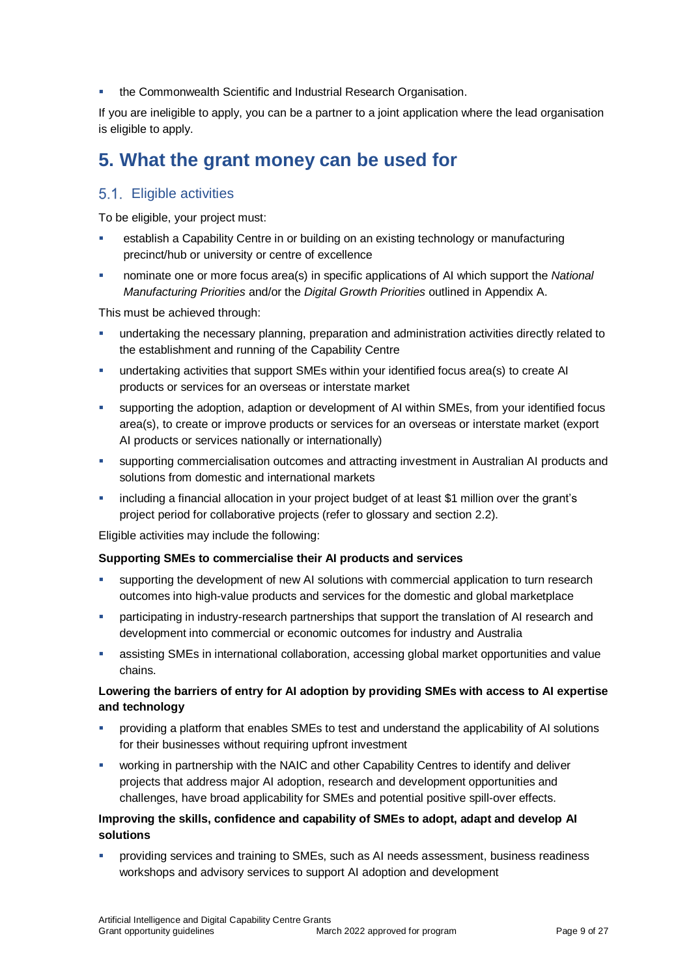the Commonwealth Scientific and Industrial Research Organisation.

If you are ineligible to apply, you can be a partner to a joint application where the lead organisation is eligible to apply.

# **5. What the grant money can be used for**

#### <span id="page-8-0"></span>Eligible activities

To be eligible, your project must:

- establish a Capability Centre in or building on an existing technology or manufacturing precinct/hub or university or centre of excellence
- nominate one or more focus area(s) in specific applications of AI which support the *National Manufacturing Priorities* and/or the *Digital Growth Priorities* outlined in Appendix A.

This must be achieved through:

- **undertaking the necessary planning, preparation and administration activities directly related to** the establishment and running of the Capability Centre
- undertaking activities that support SMEs within your identified focus area(s) to create AI products or services for an overseas or interstate market
- supporting the adoption, adaption or development of AI within SMEs, from your identified focus area(s), to create or improve products or services for an overseas or interstate market (export AI products or services nationally or internationally)
- supporting commercialisation outcomes and attracting investment in Australian AI products and solutions from domestic and international markets
- including a financial allocation in your project budget of at least \$1 million over the grant's project period for collaborative projects (refer to glossary and section 2.2).

Eligible activities may include the following:

#### **Supporting SMEs to commercialise their AI products and services**

- supporting the development of new AI solutions with commercial application to turn research outcomes into high-value products and services for the domestic and global marketplace
- participating in industry-research partnerships that support the translation of AI research and development into commercial or economic outcomes for industry and Australia
- assisting SMEs in international collaboration, accessing global market opportunities and value chains.

#### **Lowering the barriers of entry for AI adoption by providing SMEs with access to AI expertise and technology**

- providing a platform that enables SMEs to test and understand the applicability of AI solutions for their businesses without requiring upfront investment
- working in partnership with the NAIC and other Capability Centres to identify and deliver projects that address major AI adoption, research and development opportunities and challenges, have broad applicability for SMEs and potential positive spill-over effects.

#### **Improving the skills, confidence and capability of SMEs to adopt, adapt and develop AI solutions**

 providing services and training to SMEs, such as AI needs assessment, business readiness workshops and advisory services to support AI adoption and development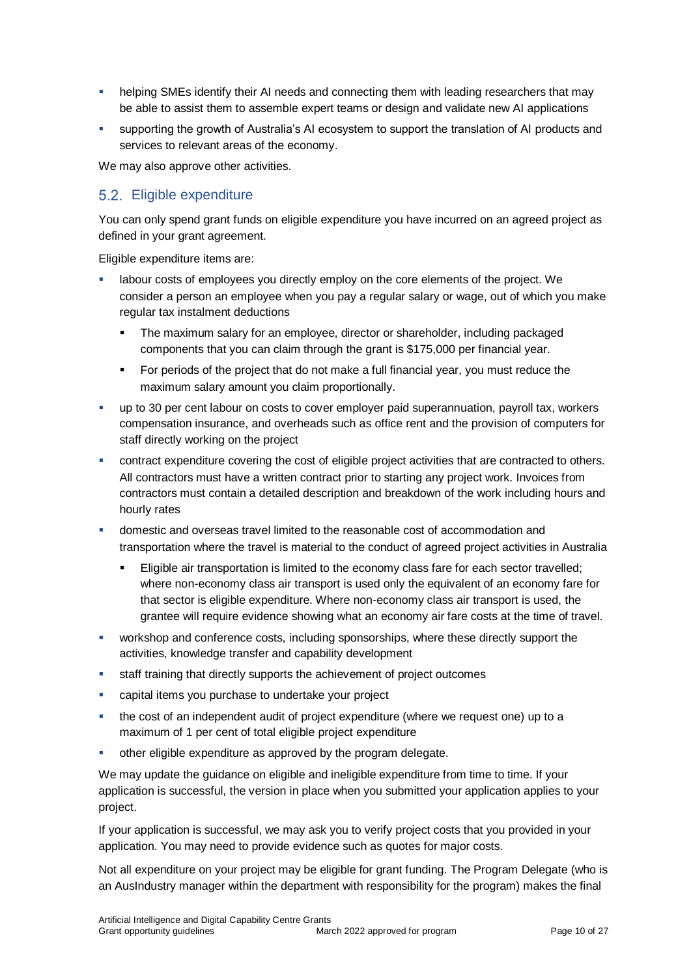- helping SMEs identify their AI needs and connecting them with leading researchers that may be able to assist them to assemble expert teams or design and validate new AI applications
- supporting the growth of Australia's AI ecosystem to support the translation of AI products and services to relevant areas of the economy.

We may also approve other activities.

### <span id="page-9-0"></span>5.2. Eligible expenditure

You can only spend grant funds on eligible expenditure you have incurred on an agreed project as defined in your grant agreement.

Eligible expenditure items are:

- labour costs of employees you directly employ on the core elements of the project. We consider a person an employee when you pay a regular salary or wage, out of which you make regular tax instalment deductions
	- The maximum salary for an employee, director or shareholder, including packaged components that you can claim through the grant is \$175,000 per financial year.
	- **For periods of the project that do not make a full financial year, you must reduce the** maximum salary amount you claim proportionally.
- up to 30 per cent labour on costs to cover employer paid superannuation, payroll tax, workers compensation insurance, and overheads such as office rent and the provision of computers for staff directly working on the project
- contract expenditure covering the cost of eligible project activities that are contracted to others. All contractors must have a written contract prior to starting any project work. Invoices from contractors must contain a detailed description and breakdown of the work including hours and hourly rates
- domestic and overseas travel limited to the reasonable cost of accommodation and transportation where the travel is material to the conduct of agreed project activities in Australia
	- Eligible air transportation is limited to the economy class fare for each sector travelled; where non-economy class air transport is used only the equivalent of an economy fare for that sector is eligible expenditure. Where non-economy class air transport is used, the grantee will require evidence showing what an economy air fare costs at the time of travel.
- workshop and conference costs, including sponsorships, where these directly support the activities, knowledge transfer and capability development
- staff training that directly supports the achievement of project outcomes
- capital items you purchase to undertake your project
- the cost of an independent audit of project expenditure (where we request one) up to a maximum of 1 per cent of total eligible project expenditure
- other eligible expenditure as approved by the program delegate.

We may update the guidance on eligible and ineligible expenditure from time to time. If your application is successful, the version in place when you submitted your application applies to your project.

If your application is successful, we may ask you to verify project costs that you provided in your application. You may need to provide evidence such as quotes for major costs.

Not all expenditure on your project may be eligible for grant funding. The Program Delegate (who is an AusIndustry manager within the department with responsibility for the program) makes the final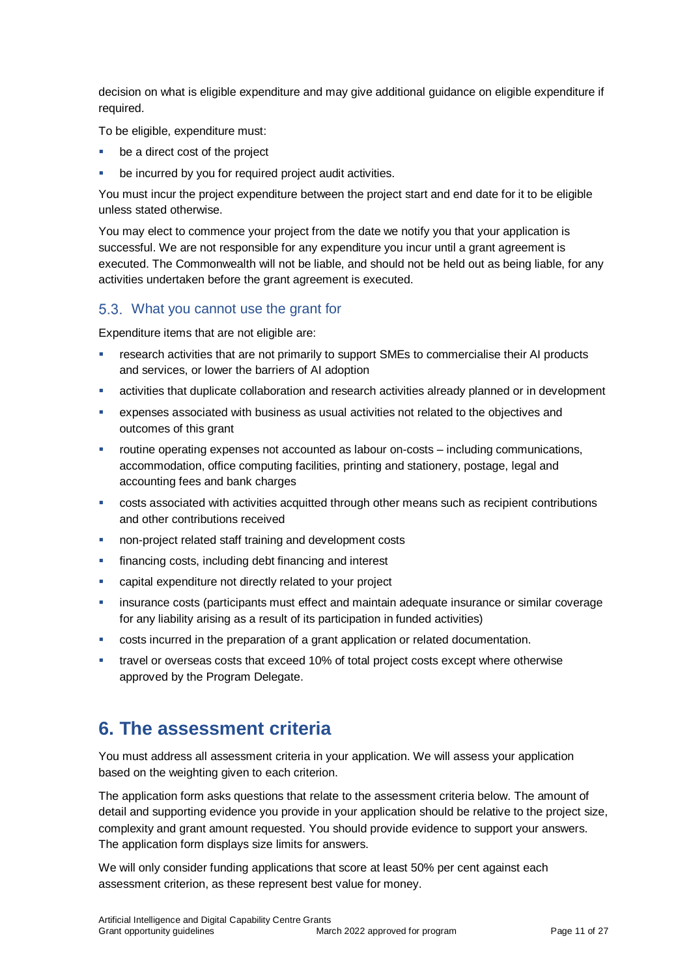decision on what is eligible expenditure and may give additional guidance on eligible expenditure if required.

To be eligible, expenditure must:

- be a direct cost of the project
- be incurred by you for required project audit activities.

You must incur the project expenditure between the project start and end date for it to be eligible unless stated otherwise.

You may elect to commence your project from the date we notify you that your application is successful. We are not responsible for any expenditure you incur until a grant agreement is executed. The Commonwealth will not be liable, and should not be held out as being liable, for any activities undertaken before the grant agreement is executed.

#### What you cannot use the grant for

Expenditure items that are not eligible are:

- research activities that are not primarily to support SMEs to commercialise their AI products and services, or lower the barriers of AI adoption
- activities that duplicate collaboration and research activities already planned or in development
- expenses associated with business as usual activities not related to the objectives and outcomes of this grant
- routine operating expenses not accounted as labour on-costs including communications, accommodation, office computing facilities, printing and stationery, postage, legal and accounting fees and bank charges
- costs associated with activities acquitted through other means such as recipient contributions and other contributions received
- non-project related staff training and development costs
- financing costs, including debt financing and interest
- capital expenditure not directly related to your project
- **EXECT** insurance costs (participants must effect and maintain adequate insurance or similar coverage for any liability arising as a result of its participation in funded activities)
- costs incurred in the preparation of a grant application or related documentation.
- travel or overseas costs that exceed 10% of total project costs except where otherwise approved by the Program Delegate.

# **6. The assessment criteria**

You must address all assessment criteria in your application. We will assess your application based on the weighting given to each criterion.

The application form asks questions that relate to the assessment criteria below. The amount of detail and supporting evidence you provide in your application should be relative to the project size, complexity and grant amount requested. You should provide evidence to support your answers. The application form displays size limits for answers.

We will only consider funding applications that score at least 50% per cent against each assessment criterion, as these represent best value for money.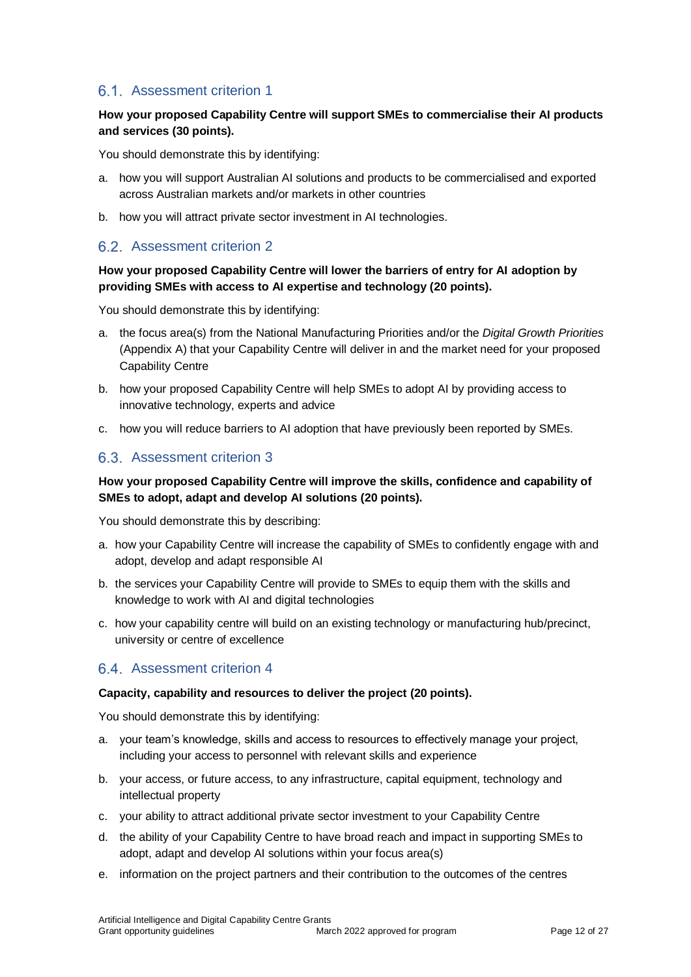### 6.1. Assessment criterion 1

#### **How your proposed Capability Centre will support SMEs to commercialise their AI products and services (30 points).**

You should demonstrate this by identifying:

- a. how you will support Australian AI solutions and products to be commercialised and exported across Australian markets and/or markets in other countries
- b. how you will attract private sector investment in AI technologies.

#### 6.2. Assessment criterion 2

#### **How your proposed Capability Centre will lower the barriers of entry for AI adoption by providing SMEs with access to AI expertise and technology (20 points).**

You should demonstrate this by identifying:

- a. the focus area(s) from the National Manufacturing Priorities and/or the *Digital Growth Priorities* (Appendix A) that your Capability Centre will deliver in and the market need for your proposed Capability Centre
- b. how your proposed Capability Centre will help SMEs to adopt AI by providing access to innovative technology, experts and advice
- c. how you will reduce barriers to AI adoption that have previously been reported by SMEs.

#### 6.3. Assessment criterion 3

#### **How your proposed Capability Centre will improve the skills, confidence and capability of SMEs to adopt, adapt and develop AI solutions (20 points).**

You should demonstrate this by describing:

- a. how your Capability Centre will increase the capability of SMEs to confidently engage with and adopt, develop and adapt responsible AI
- b. the services your Capability Centre will provide to SMEs to equip them with the skills and knowledge to work with AI and digital technologies
- c. how your capability centre will build on an existing technology or manufacturing hub/precinct, university or centre of excellence

### 6.4. Assessment criterion 4

#### **Capacity, capability and resources to deliver the project (20 points).**

You should demonstrate this by identifying:

- a. your team's knowledge, skills and access to resources to effectively manage your project, including your access to personnel with relevant skills and experience
- b. your access, or future access, to any infrastructure, capital equipment, technology and intellectual property
- c. your ability to attract additional private sector investment to your Capability Centre
- d. the ability of your Capability Centre to have broad reach and impact in supporting SMEs to adopt, adapt and develop AI solutions within your focus area(s)
- e. information on the project partners and their contribution to the outcomes of the centres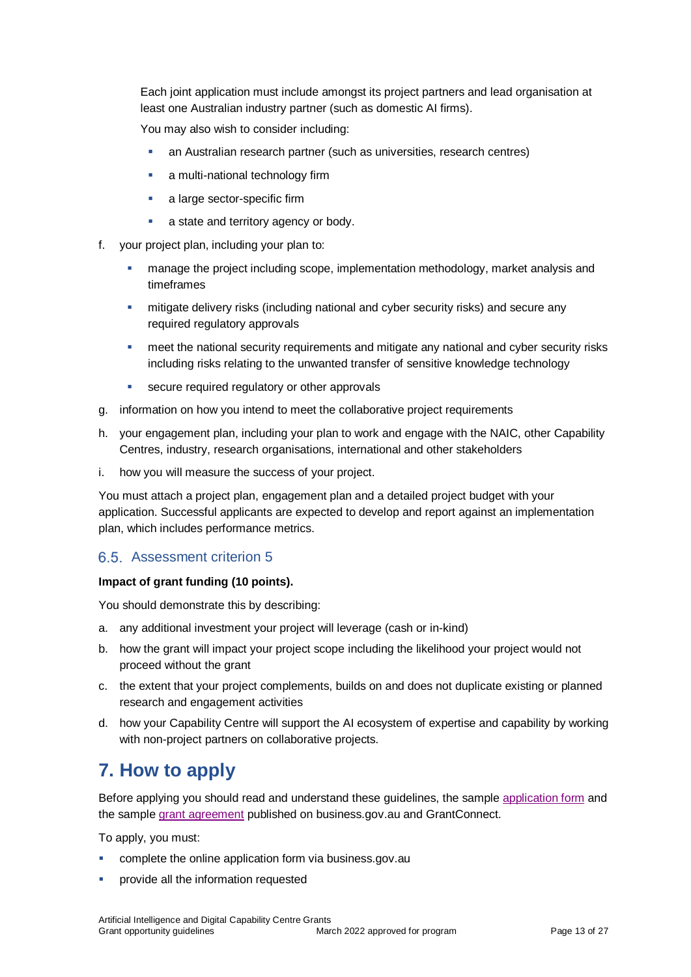Each joint application must include amongst its project partners and lead organisation at least one Australian industry partner (such as domestic AI firms).

You may also wish to consider including:

- an Australian research partner (such as universities, research centres)
- a multi-national technology firm
- a large sector-specific firm
- a state and territory agency or body.
- f. your project plan, including your plan to:
	- manage the project including scope, implementation methodology, market analysis and timeframes
	- mitigate delivery risks (including national and cyber security risks) and secure any required regulatory approvals
	- meet the national security requirements and mitigate any national and cyber security risks including risks relating to the unwanted transfer of sensitive knowledge technology
	- **secure required regulatory or other approvals**
- g. information on how you intend to meet the collaborative project requirements
- h. your engagement plan, including your plan to work and engage with the NAIC, other Capability Centres, industry, research organisations, international and other stakeholders
- i. how you will measure the success of your project.

You must attach a project plan, engagement plan and a detailed project budget with your application. Successful applicants are expected to develop and report against an implementation plan, which includes performance metrics.

#### Assessment criterion 5

#### **Impact of grant funding (10 points).**

You should demonstrate this by describing:

- a. any additional investment your project will leverage (cash or in-kind)
- b. how the grant will impact your project scope including the likelihood your project would not proceed without the grant
- c. the extent that your project complements, builds on and does not duplicate existing or planned research and engagement activities
- d. how your Capability Centre will support the AI ecosystem of expertise and capability by working with non-project partners on collaborative projects.

# **7. How to apply**

Before applying you should read and understand these guidelines, the sample [application form](https://business.gov.au/grants-and-programs/ai-digital-capability-centres#key-documents) and the sampl[e grant agreement](https://business.gov.au/grants-and-programs/ai-digital-capability-centres#key-documents) published on business.gov.au and GrantConnect.

To apply, you must:

- complete the online [application form](http://www.business.gov.au/INSERT%20URL) via business.gov.au
- provide all the information requested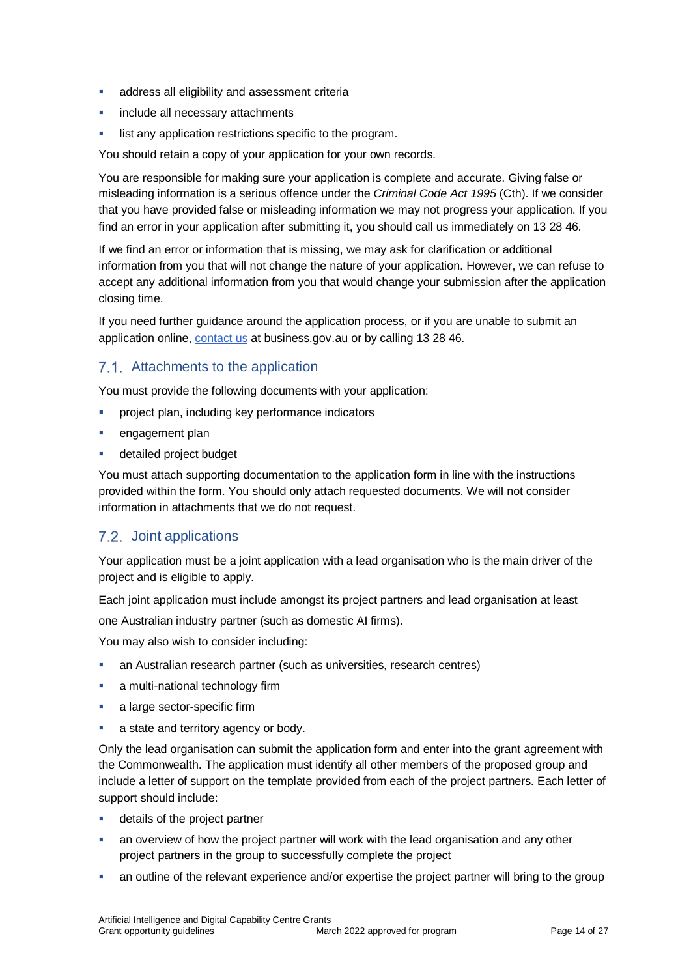- **address all eligibility and assessment criteria**
- **include all necessary attachments**
- list any application restrictions specific to the program.

You should retain a copy of your application for your own records.

You are responsible for making sure your application is complete and accurate. Giving false or misleading information is a serious offence under the *Criminal Code Act 1995* (Cth). If we consider that you have provided false or misleading information we may not progress your application. If you find an error in your application after submitting it, you should call us immediately on 13 28 46.

If we find an error or information that is missing, we may ask for clarification or additional information from you that will not change the nature of your application. However, we can refuse to accept any additional information from you that would change your submission after the application closing time.

If you need further guidance around the application process, or if you are unable to submit an application online, [contact us](https://www.business.gov.au/contact-us) at business.gov.au or by calling 13 28 46.

# 7.1. Attachments to the application

You must provide the following documents with your application:

- project plan, including key performance indicators
- engagement plan
- detailed project budget

You must attach supporting documentation to the application form in line with the instructions provided within the form. You should only attach requested documents. We will not consider information in attachments that we do not request.

### <span id="page-13-0"></span>7.2. Joint applications

Your application must be a joint application with a lead organisation who is the main driver of the project and is eligible to apply.

Each joint application must include amongst its project partners and lead organisation at least

one Australian industry partner (such as domestic AI firms).

You may also wish to consider including:

- an Australian research partner (such as universities, research centres)
- **a** multi-national technology firm
- **a** large sector-specific firm
- **a** state and territory agency or body.

Only the lead organisation can submit the application form and enter into the grant agreement with the Commonwealth. The application must identify all other members of the proposed group and include a letter of support on the template provided from each of the project partners. Each letter of support should include:

- **details of the project partner**
- an overview of how the project partner will work with the lead organisation and any other project partners in the group to successfully complete the project
- an outline of the relevant experience and/or expertise the project partner will bring to the group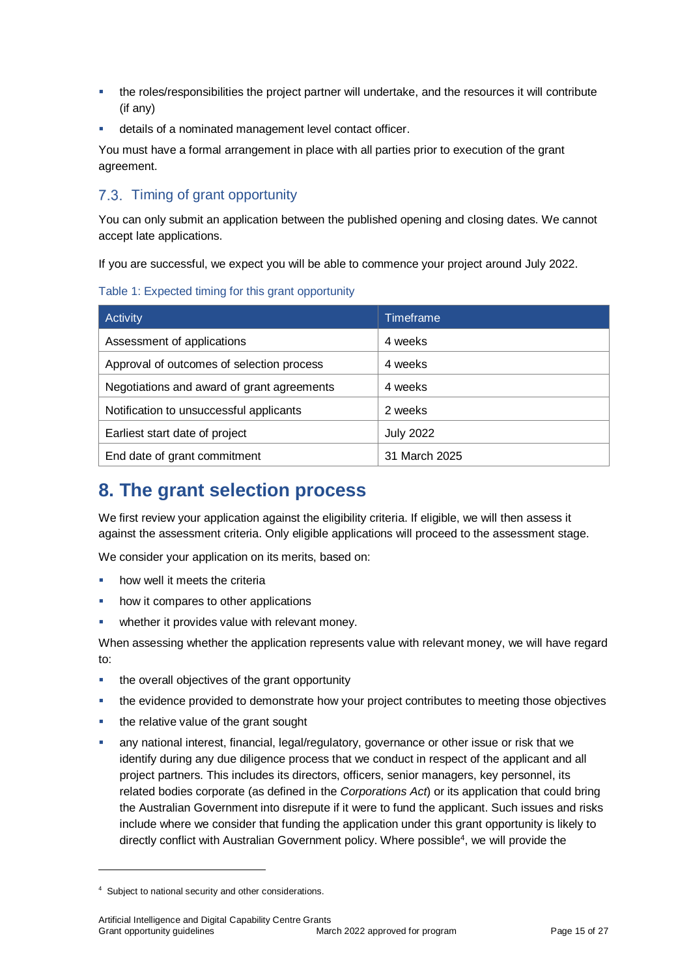- the roles/responsibilities the project partner will undertake, and the resources it will contribute (if any)
- details of a nominated management level contact officer.

You must have a formal arrangement in place with all parties prior to execution of the grant agreement.

# 7.3. Timing of grant opportunity

You can only submit an application between the published opening and closing dates. We cannot accept late applications.

If you are successful, we expect you will be able to commence your project around July 2022.

Table 1: Expected timing for this grant opportunity

| Activity                                   | <b>Timeframe</b> |
|--------------------------------------------|------------------|
| Assessment of applications                 | 4 weeks          |
| Approval of outcomes of selection process  | 4 weeks          |
| Negotiations and award of grant agreements | 4 weeks          |
| Notification to unsuccessful applicants    | 2 weeks          |
| Earliest start date of project             | <b>July 2022</b> |
| End date of grant commitment               | 31 March 2025    |

# **8. The grant selection process**

We first review your application against the eligibility criteria. If eligible, we will then assess it against the assessment criteria. Only eligible applications will proceed to the assessment stage.

We consider your application on its merits, based on:

- how well it meets the criteria
- how it compares to other applications
- whether it provides value with relevant money.

When assessing whether the application represents value with relevant money, we will have regard to:

- **the overall objectives of the grant opportunity**
- the evidence provided to demonstrate how your project contributes to meeting those objectives
- the relative value of the grant sought
- any national interest, financial, legal/regulatory, governance or other issue or risk that we identify during any due diligence process that we conduct in respect of the applicant and all project partners. This includes its directors, officers, senior managers, key personnel, its related bodies corporate (as defined in the *Corporations Act*) or its application that could bring the Australian Government into disrepute if it were to fund the applicant. Such issues and risks include where we consider that funding the application under this grant opportunity is likely to directly conflict with Australian Government policy. Where possible<sup>4</sup>, we will provide the

l

<sup>4</sup> Subject to national security and other considerations.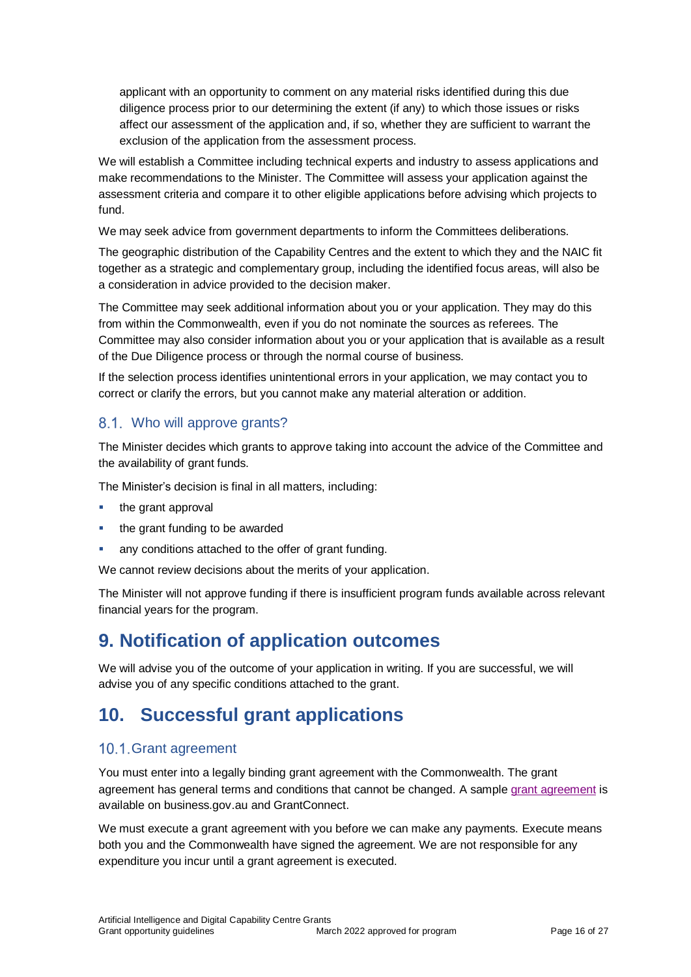applicant with an opportunity to comment on any material risks identified during this due diligence process prior to our determining the extent (if any) to which those issues or risks affect our assessment of the application and, if so, whether they are sufficient to warrant the exclusion of the application from the assessment process.

We will establish a Committee including technical experts and industry to assess applications and make recommendations to the Minister. The Committee will assess your application against the assessment criteria and compare it to other eligible applications before advising which projects to fund.

We may seek advice from government departments to inform the Committees deliberations.

The geographic distribution of the Capability Centres and the extent to which they and the NAIC fit together as a strategic and complementary group, including the identified focus areas, will also be a consideration in advice provided to the decision maker.

The Committee may seek additional information about you or your application. They may do this from within the Commonwealth, even if you do not nominate the sources as referees. The Committee may also consider information about you or your application that is available as a result of the Due Diligence process or through the normal course of business.

If the selection process identifies unintentional errors in your application, we may contact you to correct or clarify the errors, but you cannot make any material alteration or addition.

# 8.1. Who will approve grants?

The Minister decides which grants to approve taking into account the advice of the Committee and the availability of grant funds.

The Minister's decision is final in all matters, including:

- $\blacksquare$  the grant approval
- the grant funding to be awarded
- any conditions attached to the offer of grant funding.

We cannot review decisions about the merits of your application.

The Minister will not approve funding if there is insufficient program funds available across relevant financial years for the program.

# **9. Notification of application outcomes**

We will advise you of the outcome of your application in writing. If you are successful, we will advise you of any specific conditions attached to the grant.

# **10. Successful grant applications**

#### 10.1. Grant agreement

You must enter into a legally binding grant agreement with the Commonwealth. The grant agreement has general terms and conditions that cannot be changed. A sample [grant agreement](https://business.gov.au/grants-and-programs/ai-digital-capability-centres#key-documents) is available on business.gov.au and GrantConnect.

We must execute a grant agreement with you before we can make any payments. Execute means both you and the Commonwealth have signed the agreement. We are not responsible for any expenditure you incur until a grant agreement is executed.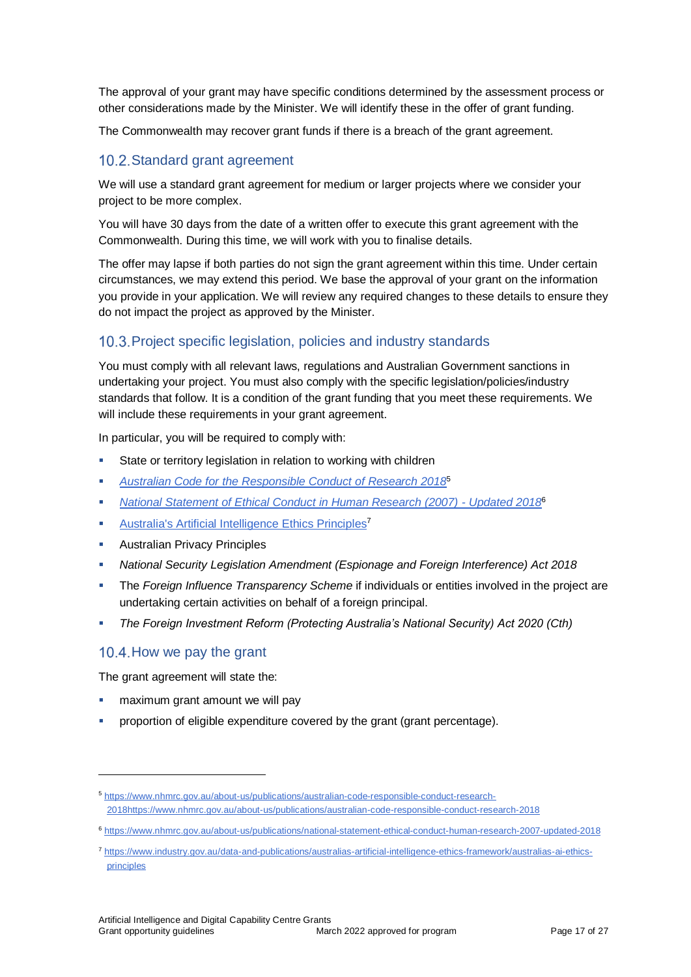The approval of your grant may have specific conditions determined by the assessment process or other considerations made by the Minister. We will identify these in the offer of grant funding.

The Commonwealth may recover grant funds if there is a breach of the grant agreement.

#### 10.2. Standard grant agreement

We will use a standard grant agreement for medium or larger projects where we consider your project to be more complex.

You will have 30 days from the date of a written offer to execute this grant agreement with the Commonwealth. During this time, we will work with you to finalise details.

The offer may lapse if both parties do not sign the grant agreement within this time. Under certain circumstances, we may extend this period. We base the approval of your grant on the information you provide in your application. We will review any required changes to these details to ensure they do not impact the project as approved by the Minister.

#### 10.3. Project specific legislation, policies and industry standards

You must comply with all relevant laws, regulations and Australian Government sanctions in undertaking your project. You must also comply with the specific legislation/policies/industry standards that follow. It is a condition of the grant funding that you meet these requirements. We will include these requirements in your grant agreement.

In particular, you will be required to comply with:

- State or territory legislation in relation to working with children
- *[Australian Code for the Responsible Conduct of Research 2018](https://www.nhmrc.gov.au/about-us/publications/australian-code-responsible-conduct-research-2018)*<sup>5</sup>
- *[National Statement of Ethical Conduct in Human Research \(2007\) -](https://www.nhmrc.gov.au/about-us/publications/national-statement-ethical-conduct-human-research-2007-updated-2018) Updated 2018*<sup>6</sup>
- **[Australia's Artificial Intelligence](https://www.industry.gov.au/data-and-publications/australias-artificial-intelligence-ethics-framework/australias-ai-ethics-principles) Ethics Principles<sup>7</sup>**
- **Australian Privacy Principles**
- *[National Security Legislation Amendment \(Espionage and Foreign Interference\) Act 2018](https://www.legislation.gov.au/Series/C2018A00067)*
- The *Foreign Influence Transparency Scheme* if individuals or entities involved in the project are undertaking certain activities on behalf of a foreign principal.
- *The Foreign Investment Reform (Protecting Australia's National Security) Act 2020 (Cth)*

#### 10.4. How we pay the grant

l

The grant agreement will state the:

- maximum grant amount we will pay
- proportion of eligible expenditure covered by the grant (grant percentage).

<sup>5</sup> [https://www.nhmrc.gov.au/about-us/publications/australian-code-responsible-conduct-research-](https://www.nhmrc.gov.au/about-us/publications/australian-code-responsible-conduct-research-2018)[2018h](https://www.nhmrc.gov.au/about-us/publications/australian-code-responsible-conduct-research-2018)ttps://www.nhmrc.gov.au/about-us/publications/australian-code-responsible-conduct-research-2018

<sup>6</sup> <https://www.nhmrc.gov.au/about-us/publications/national-statement-ethical-conduct-human-research-2007-updated-2018>

<sup>7</sup> [https://www.industry.gov.au/data-and-publications/australias-artificial-intelligence-ethics-framework/australias-ai-ethics](https://www.industry.gov.au/data-and-publications/australias-artificial-intelligence-ethics-framework/australias-ai-ethics-principles)[principles](https://www.industry.gov.au/data-and-publications/australias-artificial-intelligence-ethics-framework/australias-ai-ethics-principles)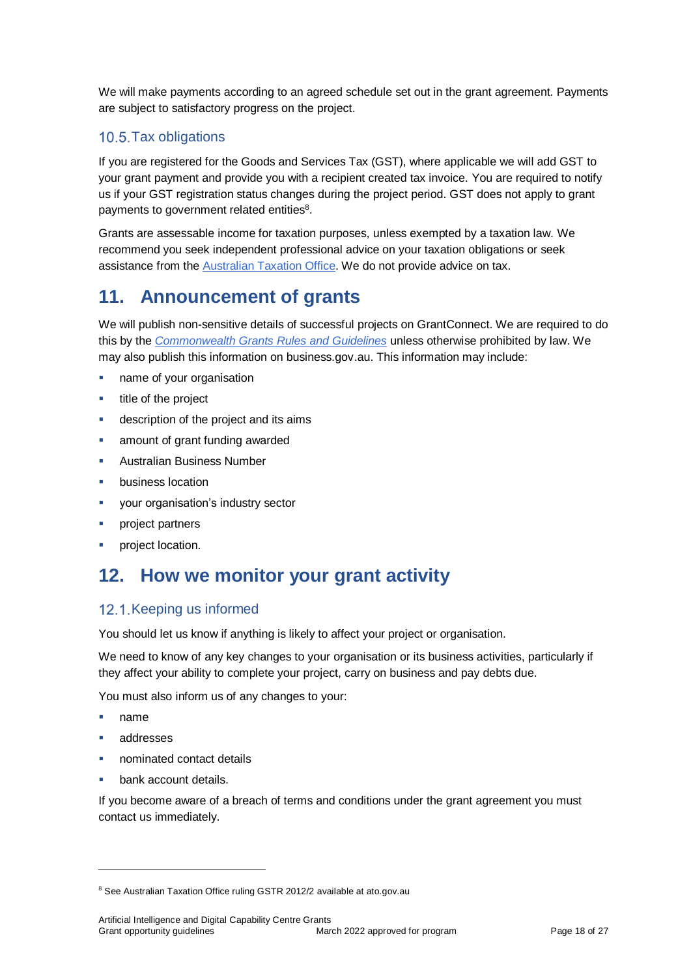We will make payments according to an agreed schedule set out in the grant agreement. Payments are subject to satisfactory progress on the project.

# 10.5. Tax obligations

If you are registered for the Goods and Services Tax (GST), where applicable we will add GST to your grant payment and provide you with a recipient created tax invoice. You are required to notify us if your GST registration status changes during the project period. GST does not apply to grant payments to government related entities<sup>8</sup>.

Grants are assessable income for taxation purposes, unless exempted by a taxation law. We recommend you seek independent professional advice on your taxation obligations or seek assistance from the [Australian Taxation Office.](https://www.ato.gov.au/) We do not provide advice on tax.

# **11. Announcement of grants**

We will publish non-sensitive details of successful projects on GrantConnect. We are required to do this by the *[Commonwealth Grants Rules and Guidelines](https://www.finance.gov.au/government/commonwealth-grants/commonwealth-grants-rules-guidelines)* unless otherwise prohibited by law. We may also publish this information on business.gov.au. This information may include:

- name of your organisation
- title of the project
- description of the project and its aims
- amount of grant funding awarded
- Australian Business Number
- business location
- **vour organisation's industry sector**
- **project partners**
- **•** project location.

# **12. How we monitor your grant activity**

### 12.1. Keeping us informed

You should let us know if anything is likely to affect your project or organisation.

We need to know of any key changes to your organisation or its business activities, particularly if they affect your ability to complete your project, carry on business and pay debts due.

You must also inform us of any changes to your:

name

l

- addresses
- nominated contact details
- bank account details.

If you become aware of a breach of terms and conditions under the grant agreement you must contact us immediately.

<sup>&</sup>lt;sup>8</sup> See Australian Taxation Office ruling GSTR 2012/2 available at ato.gov.au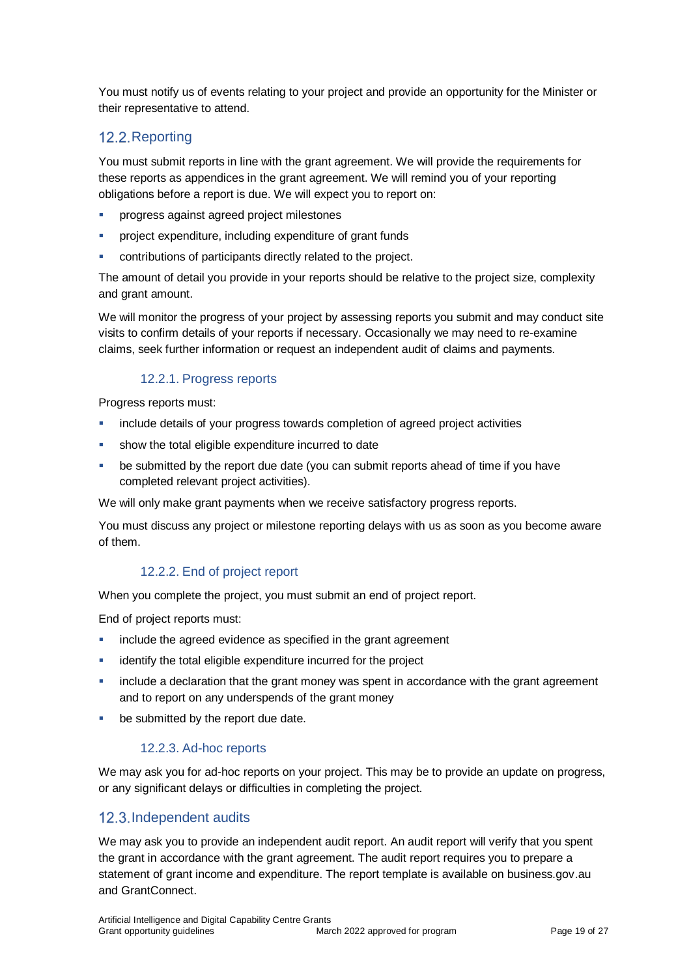You must notify us of events relating to your project and provide an opportunity for the Minister or their representative to attend.

# 12.2. Reporting

You must submit reports in line with the [grant agreement.](file://///prod.protected.ind/User/user03/LLau2/insert%20link%20here) We will provide the requirements for these reports as appendices in the grant agreement. We will remind you of your reporting obligations before a report is due. We will expect you to report on:

- progress against agreed project milestones
- **PEDFECT** project expenditure, including expenditure of grant funds
- contributions of participants directly related to the project.

The amount of detail you provide in your reports should be relative to the project size, complexity and grant amount.

We will monitor the progress of your project by assessing reports you submit and may conduct site visits to confirm details of your reports if necessary. Occasionally we may need to re-examine claims, seek further information or request an independent audit of claims and payments.

#### 12.2.1. Progress reports

Progress reports must:

- include details of your progress towards completion of agreed project activities
- show the total eligible expenditure incurred to date
- be submitted by the report due date (you can submit reports ahead of time if you have completed relevant project activities).

We will only make grant payments when we receive satisfactory progress reports.

You must discuss any project or milestone reporting delays with us as soon as you become aware of them.

#### 12.2.2. End of project report

When you complete the project, you must submit an end of project report.

End of project reports must:

- **EXEDENT** include the agreed evidence as specified in the grant agreement
- identify the total eligible expenditure incurred for the project
- include a declaration that the grant money was spent in accordance with the grant agreement and to report on any underspends of the grant money
- **be submitted by the report due date.**

#### 12.2.3. Ad-hoc reports

We may ask you for ad-hoc reports on your project. This may be to provide an update on progress, or any significant delays or difficulties in completing the project.

### 12.3. Independent audits

We may ask you to provide an independent audit report. An audit report will verify that you spent the grant in accordance with the grant agreement. The audit report requires you to prepare a statement of grant income and expenditure. The report template is available on business.gov.au and GrantConnect.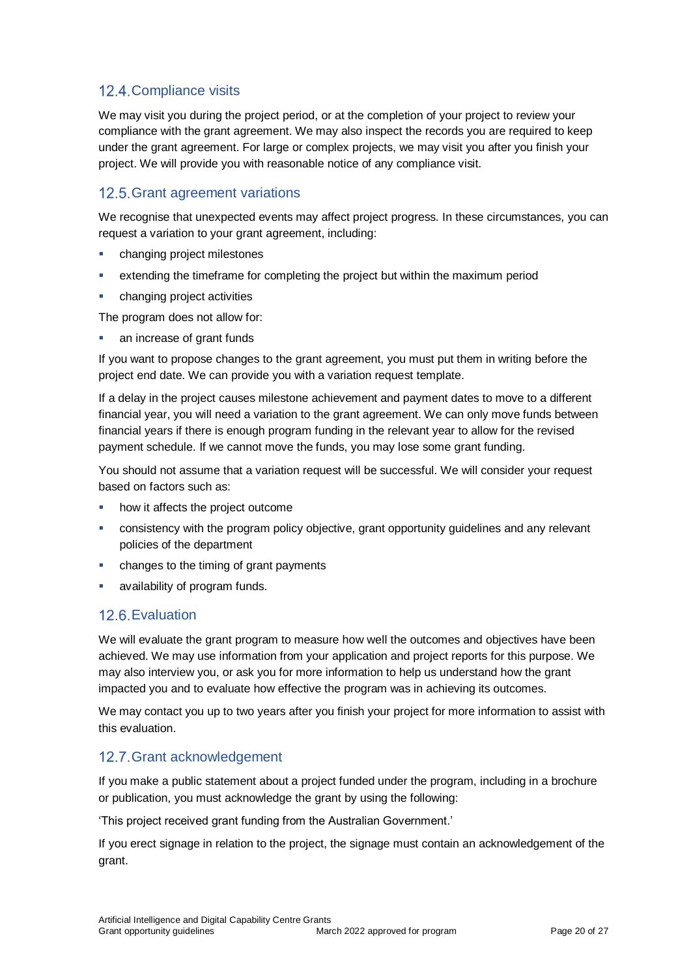# 12.4. Compliance visits

We may visit you during the project period, or at the completion of your project to review your compliance with the grant agreement. We may also inspect the records you are required to keep under the grant agreement. For large or complex projects, we may visit you after you finish your project. We will provide you with reasonable notice of any compliance visit.

# 12.5. Grant agreement variations

We recognise that unexpected events may affect project progress. In these circumstances, you can request a variation to your grant agreement, including:

- changing project milestones
- extending the timeframe for completing the project but within the maximum period
- changing project activities

The program does not allow for:

• an increase of grant funds

If you want to propose changes to the grant agreement, you must put them in writing before the project end date. We can provide you with a variation request template.

If a delay in the project causes milestone achievement and payment dates to move to a different financial year, you will need a variation to the grant agreement. We can only move funds between financial years if there is enough program funding in the relevant year to allow for the revised payment schedule. If we cannot move the funds, you may lose some grant funding.

You should not assume that a variation request will be successful. We will consider your request based on factors such as:

- **how it affects the project outcome**
- consistency with the program policy objective, grant opportunity guidelines and any relevant policies of the department
- changes to the timing of grant payments
- availability of program funds.

### 12.6. Evaluation

We will evaluate the grant program to measure how well the outcomes and objectives have been achieved. We may use information from your application and project reports for this purpose. We may also interview you, or ask you for more information to help us understand how the grant impacted you and to evaluate how effective the program was in achieving its outcomes.

We may contact you up to two years after you finish your project for more information to assist with this evaluation.

### 12.7. Grant acknowledgement

If you make a public statement about a project funded under the program, including in a brochure or publication, you must acknowledge the grant by using the following:

'This project received grant funding from the Australian Government.'

If you erect signage in relation to the project, the signage must contain an acknowledgement of the grant.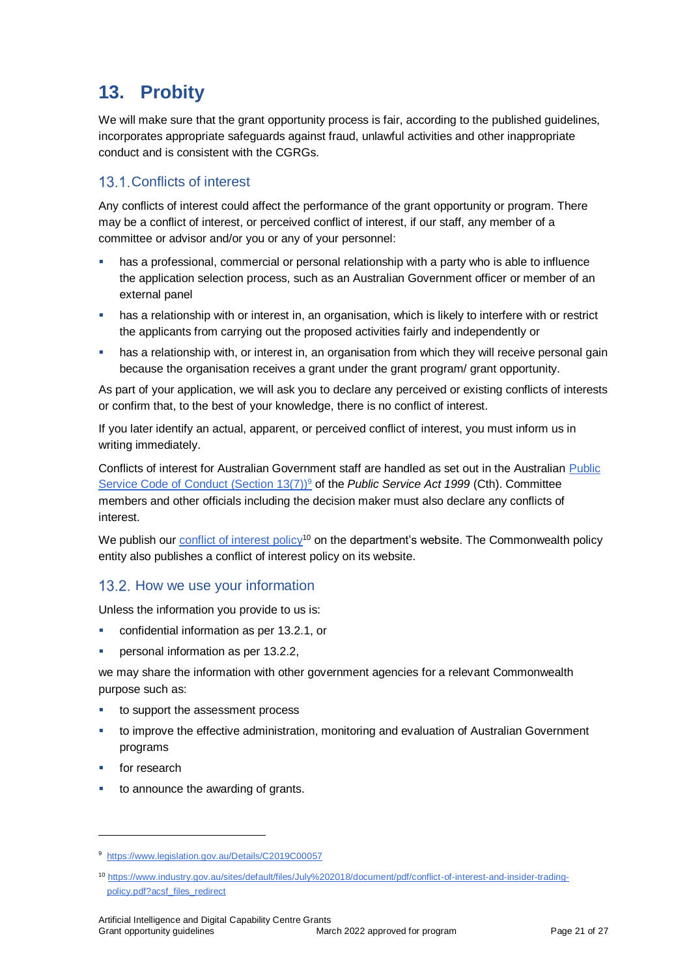# **13. Probity**

We will make sure that the grant opportunity process is fair, according to the published guidelines, incorporates appropriate safeguards against fraud, unlawful activities and other inappropriate conduct and is consistent with the CGRGs.

# 13.1. Conflicts of interest

Any conflicts of interest could affect the performance of the grant opportunity or program. There may be a [conflict of interest,](http://www.apsc.gov.au/publications-and-media/current-publications/aps-values-and-code-of-conduct-in-practice/conflict-of-interest) or perceived conflict of interest, if our staff, any member of a committee or advisor and/or you or any of your personnel:

- has a professional, commercial or personal relationship with a party who is able to influence the application selection process, such as an Australian Government officer or member of an external panel
- has a relationship with or interest in, an organisation, which is likely to interfere with or restrict the applicants from carrying out the proposed activities fairly and independently or
- has a relationship with, or interest in, an organisation from which they will receive personal gain because the organisation receives a grant under the grant program/ grant opportunity.

As part of your application, we will ask you to declare any perceived or existing conflicts of interests or confirm that, to the best of your knowledge, there is no conflict of interest.

If you later identify an actual, apparent, or perceived conflict of interest, you must inform us in writing immediately.

Conflicts of interest for Australian Government staff are handled as set out in the Australian [Public](https://www.legislation.gov.au/Details/C2019C00057)  [Service Code of Conduct \(Section 13\(7\)\)](https://www.legislation.gov.au/Details/C2019C00057)<sup>9</sup> of the *Public Service Act 1999* (Cth). Committee members and other officials including the decision maker must also declare any conflicts of interest.

We publish our [conflict of interest policy](https://www.industry.gov.au/sites/g/files/net3906/f/July%202018/document/pdf/conflict-of-interest-and-insider-trading-policy.pdf)<sup>10</sup> on the department's website. The Commonwealth policy entity also publishes a conflict of interest policy on its website.

### 13.2. How we use your information

Unless the information you provide to us is:

- confidential information as per [13.2.1,](#page-21-0) or
- personal information as per [13.2.2,](#page-21-1)

we may share the information with other government agencies for a relevant Commonwealth purpose such as:

- to support the assessment process
- to improve the effective administration, monitoring and evaluation of Australian Government programs
- for research

l

to announce the awarding of grants.

<sup>9</sup> https://www.legislation.gov.au/Details/C2019C00057

<sup>10</sup> [https://www.industry.gov.au/sites/default/files/July%202018/document/pdf/conflict-of-interest-and-insider-trading](https://www.industry.gov.au/sites/default/files/July%202018/document/pdf/conflict-of-interest-and-insider-trading-policy.pdf?acsf_files_redirect)[policy.pdf?acsf\\_files\\_redirect](https://www.industry.gov.au/sites/default/files/July%202018/document/pdf/conflict-of-interest-and-insider-trading-policy.pdf?acsf_files_redirect)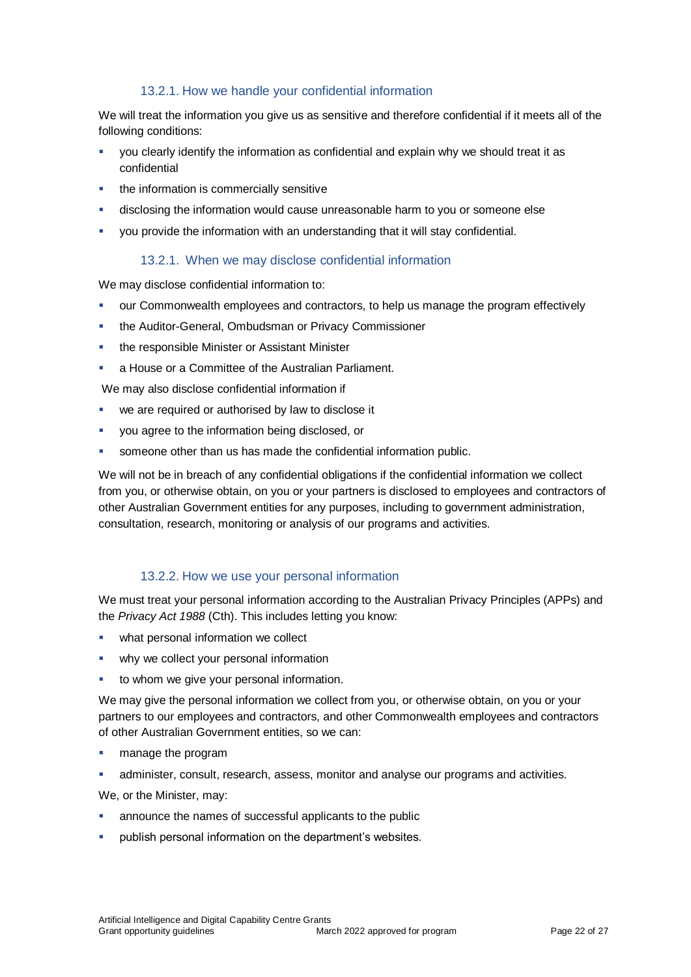#### 13.2.1. How we handle your confidential information

<span id="page-21-0"></span>We will treat the information you give us as sensitive and therefore confidential if it meets all of the following conditions:

- you clearly identify the information as confidential and explain why we should treat it as confidential
- the information is commercially sensitive
- disclosing the information would cause unreasonable harm to you or someone else
- you provide the information with an understanding that it will stay confidential.

#### 13.2.1. When we may disclose confidential information

We may disclose confidential information to:

- our Commonwealth employees and contractors, to help us manage the program effectively
- the Auditor-General, Ombudsman or Privacy Commissioner
- the responsible Minister or Assistant Minister
- a House or a Committee of the Australian Parliament.

We may also disclose confidential information if

- we are required or authorised by law to disclose it
- you agree to the information being disclosed, or
- someone other than us has made the confidential information public.

We will not be in breach of any confidential obligations if the confidential information we collect from you, or otherwise obtain, on you or your partners is disclosed to employees and contractors of other Australian Government entities for any purposes, including to government administration, consultation, research, monitoring or analysis of our programs and activities.

#### 13.2.2. How we use your personal information

<span id="page-21-1"></span>We must treat your personal information according to the Australian Privacy Principles (APPs) and the *Privacy Act 1988* (Cth). This includes letting you know:

- what personal information we collect
- why we collect your personal information
- to whom we give your personal information.

We may give the personal information we collect from you, or otherwise obtain, on you or your partners to our employees and contractors, and other Commonwealth employees and contractors of other Australian Government entities, so we can:

- **manage the program**
- administer, consult, research, assess, monitor and analyse our programs and activities.

We, or the Minister, may:

- announce the names of successful applicants to the public
- publish personal information on the department's websites.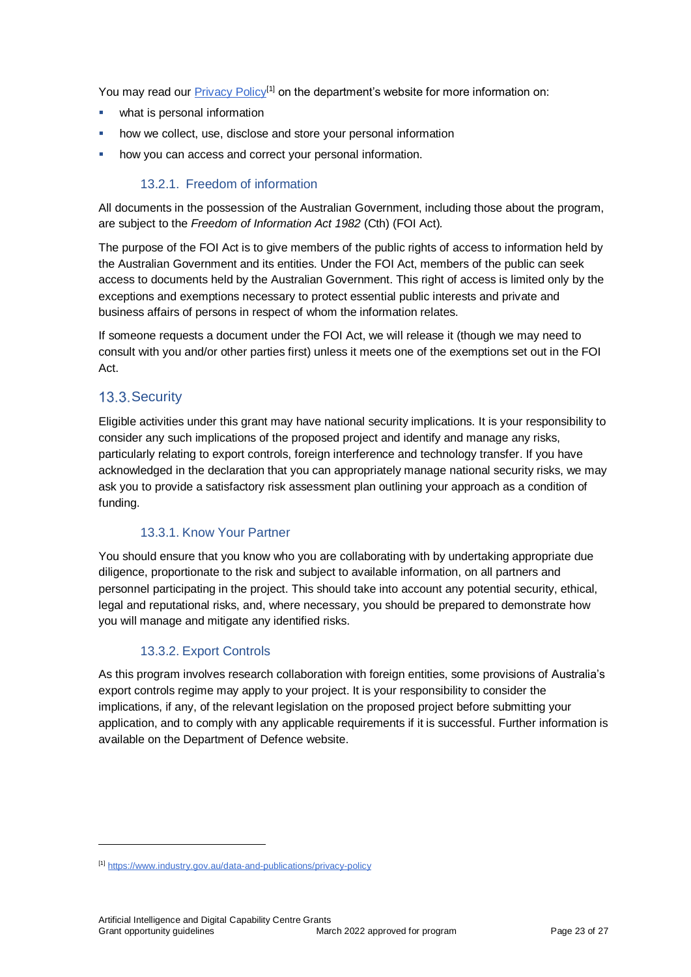You may read our [Privacy Policy](https://www.industry.gov.au/data-and-publications/privacy-policy)<sup>[1]</sup> on the department's website for more information on:

- what is personal information
- how we collect, use, disclose and store your personal information
- **how you can access and correct your personal information.**

#### 13.2.1. Freedom of information

All documents in the possession of the Australian Government, including those about the program, are subject to the *Freedom of Information Act 1982* (Cth) (FOI Act)*.*

The purpose of the FOI Act is to give members of the public rights of access to information held by the Australian Government and its entities. Under the FOI Act, members of the public can seek access to documents held by the Australian Government. This right of access is limited only by the exceptions and exemptions necessary to protect essential public interests and private and business affairs of persons in respect of whom the information relates.

If someone requests a document under the FOI Act, we will release it (though we may need to consult with you and/or other parties first) unless it meets one of the exemptions set out in the FOI Act.

### 13.3. Security

l

Eligible activities under this grant may have national security implications. It is your responsibility to consider any such implications of the proposed project and identify and manage any risks, particularly relating to export controls, foreign interference and technology transfer. If you have acknowledged in the declaration that you can appropriately manage national security risks, we may ask you to provide a satisfactory risk assessment plan outlining your approach as a condition of funding.

#### 13.3.1. Know Your Partner

You should ensure that you know who you are collaborating with by undertaking appropriate due diligence, proportionate to the risk and subject to available information, on all partners and personnel participating in the project. This should take into account any potential security, ethical, legal and reputational risks, and, where necessary, you should be prepared to demonstrate how you will manage and mitigate any identified risks.

#### 13.3.2. Export Controls

As this program involves research collaboration with foreign entities, some provisions of Australia's export controls regime may apply to your project. It is your responsibility to consider the implications, if any, of the relevant legislation on the proposed project before submitting your application, and to comply with any applicable requirements if it is successful. Further information is available on the Department of Defence website.

<sup>[1]</sup> <https://www.industry.gov.au/data-and-publications/privacy-policy>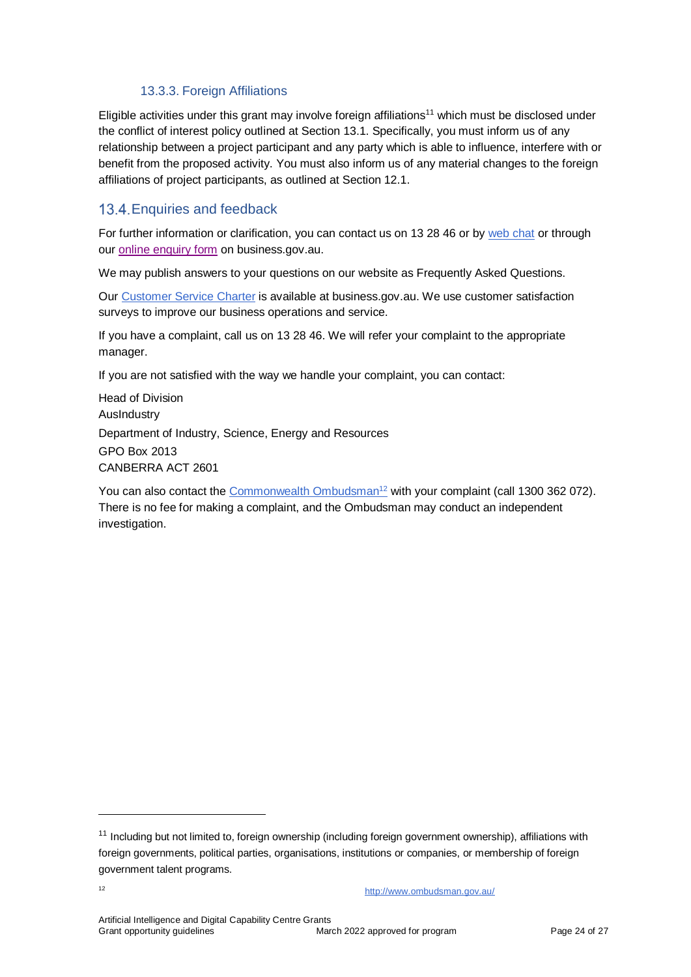#### 13.3.3. Foreign Affiliations

Eligible activities under this grant may involve foreign affiliations<sup>11</sup> which must be disclosed under the conflict of interest policy outlined at Section 13.1. Specifically, you must inform us of any relationship between a project participant and any party which is able to influence, interfere with or benefit from the proposed activity. You must also inform us of any material changes to the foreign affiliations of project participants, as outlined at Section 12.1.

### 13.4. Enquiries and feedback

For further information or clarification, you can contact us on 13 28 46 or by [web chat](https://www.business.gov.au/contact-us) or through our [online enquiry form](http://www.business.gov.au/contact-us/Pages/default.aspx) on business.gov.au.

We may publish answers to your questions on our website as Frequently Asked Questions.

Our [Customer Service Charter](https://www.business.gov.au/about/customer-service-charter) is available at [business.gov.au.](http://www.business.gov.au/) We use customer satisfaction surveys to improve our business operations and service.

If you have a complaint, call us on 13 28 46. We will refer your complaint to the appropriate manager.

If you are not satisfied with the way we handle your complaint, you can contact:

Head of Division AusIndustry Department of Industry, Science, Energy and Resources GPO Box 2013 CANBERRA ACT 2601

You can also contact the [Commonwealth Ombudsman](http://www.ombudsman.gov.au/)<sup>12</sup> with your complaint (call 1300 362 072). There is no fee for making a complaint, and the Ombudsman may conduct an independent investigation.

l

<sup>&</sup>lt;sup>11</sup> Including but not limited to, foreign ownership (including foreign government ownership), affiliations with foreign governments, political parties, organisations, institutions or companies, or membership of foreign government talent programs.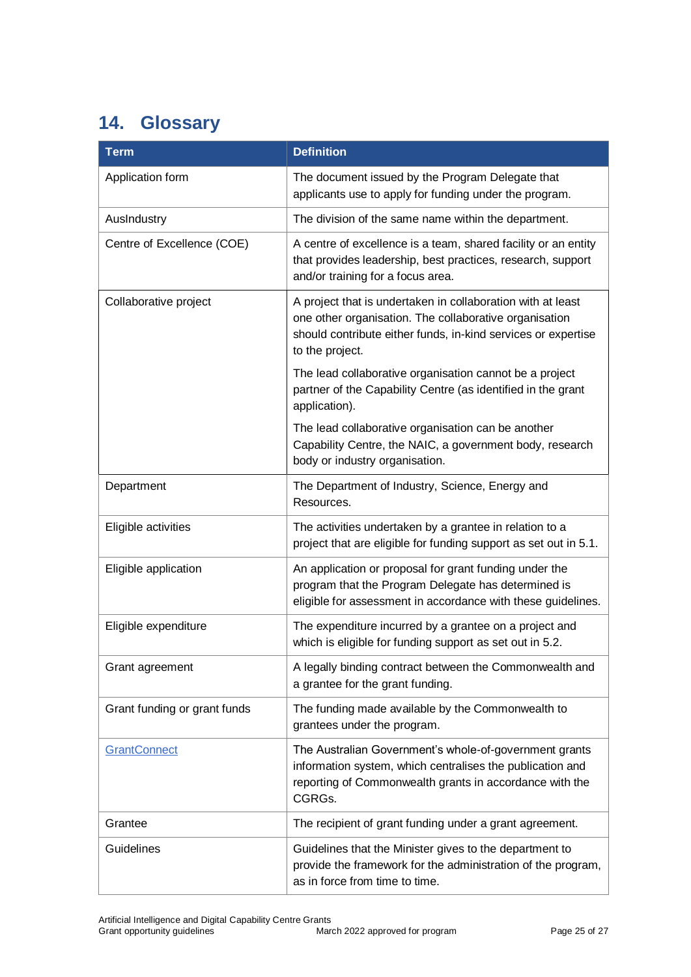# <span id="page-24-0"></span>**14. Glossary**

| <b>Term</b>                  | <b>Definition</b>                                                                                                                                                                                         |
|------------------------------|-----------------------------------------------------------------------------------------------------------------------------------------------------------------------------------------------------------|
| Application form             | The document issued by the Program Delegate that<br>applicants use to apply for funding under the program.                                                                                                |
| AusIndustry                  | The division of the same name within the department.                                                                                                                                                      |
| Centre of Excellence (COE)   | A centre of excellence is a team, shared facility or an entity<br>that provides leadership, best practices, research, support<br>and/or training for a focus area.                                        |
| Collaborative project        | A project that is undertaken in collaboration with at least<br>one other organisation. The collaborative organisation<br>should contribute either funds, in-kind services or expertise<br>to the project. |
|                              | The lead collaborative organisation cannot be a project<br>partner of the Capability Centre (as identified in the grant<br>application).                                                                  |
|                              | The lead collaborative organisation can be another<br>Capability Centre, the NAIC, a government body, research<br>body or industry organisation.                                                          |
| Department                   | The Department of Industry, Science, Energy and<br>Resources.                                                                                                                                             |
| Eligible activities          | The activities undertaken by a grantee in relation to a<br>project that are eligible for funding support as set out in 5.1.                                                                               |
| Eligible application         | An application or proposal for grant funding under the<br>program that the Program Delegate has determined is<br>eligible for assessment in accordance with these guidelines.                             |
| Eligible expenditure         | The expenditure incurred by a grantee on a project and<br>which is eligible for funding support as set out in 5.2.                                                                                        |
| Grant agreement              | A legally binding contract between the Commonwealth and<br>a grantee for the grant funding.                                                                                                               |
| Grant funding or grant funds | The funding made available by the Commonwealth to<br>grantees under the program.                                                                                                                          |
| <b>GrantConnect</b>          | The Australian Government's whole-of-government grants<br>information system, which centralises the publication and<br>reporting of Commonwealth grants in accordance with the<br>CGRGs.                  |
| Grantee                      | The recipient of grant funding under a grant agreement.                                                                                                                                                   |
| Guidelines                   | Guidelines that the Minister gives to the department to<br>provide the framework for the administration of the program,<br>as in force from time to time.                                                 |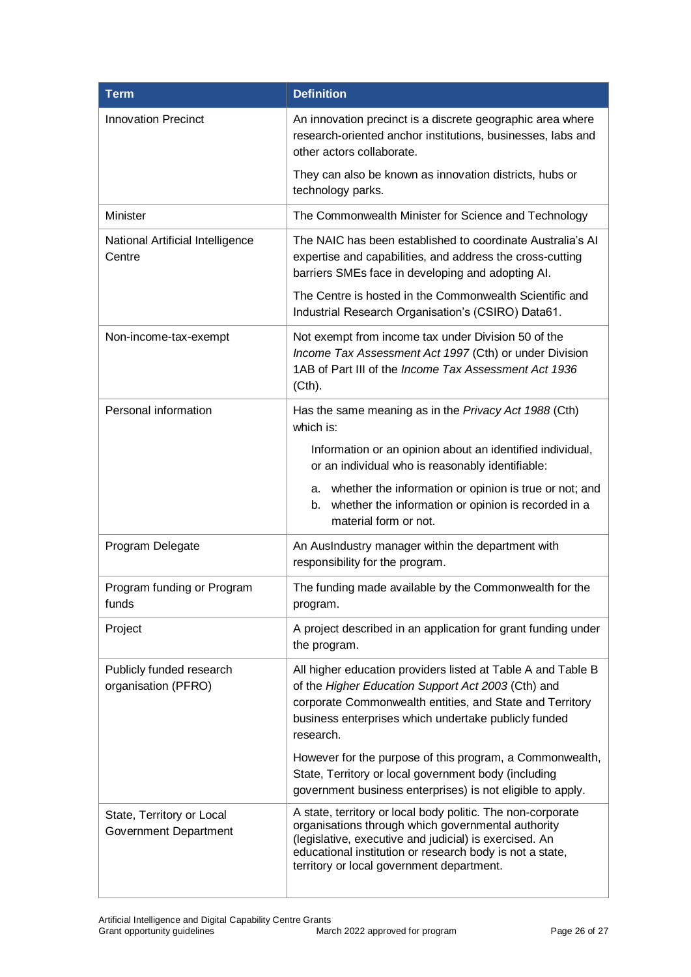| <b>Term</b>                                        | <b>Definition</b>                                                                                                                                                                                                                                                                    |
|----------------------------------------------------|--------------------------------------------------------------------------------------------------------------------------------------------------------------------------------------------------------------------------------------------------------------------------------------|
| <b>Innovation Precinct</b>                         | An innovation precinct is a discrete geographic area where<br>research-oriented anchor institutions, businesses, labs and<br>other actors collaborate.                                                                                                                               |
|                                                    | They can also be known as innovation districts, hubs or<br>technology parks.                                                                                                                                                                                                         |
| Minister                                           | The Commonwealth Minister for Science and Technology                                                                                                                                                                                                                                 |
| National Artificial Intelligence<br>Centre         | The NAIC has been established to coordinate Australia's AI<br>expertise and capabilities, and address the cross-cutting<br>barriers SMEs face in developing and adopting AI.                                                                                                         |
|                                                    | The Centre is hosted in the Commonwealth Scientific and<br>Industrial Research Organisation's (CSIRO) Data61.                                                                                                                                                                        |
| Non-income-tax-exempt                              | Not exempt from income tax under Division 50 of the<br>Income Tax Assessment Act 1997 (Cth) or under Division<br>1AB of Part III of the Income Tax Assessment Act 1936<br>(Cth).                                                                                                     |
| Personal information                               | Has the same meaning as in the Privacy Act 1988 (Cth)<br>which is:                                                                                                                                                                                                                   |
|                                                    | Information or an opinion about an identified individual,<br>or an individual who is reasonably identifiable:                                                                                                                                                                        |
|                                                    | a. whether the information or opinion is true or not; and<br>whether the information or opinion is recorded in a<br>b.<br>material form or not.                                                                                                                                      |
| Program Delegate                                   | An AusIndustry manager within the department with<br>responsibility for the program.                                                                                                                                                                                                 |
| Program funding or Program<br>funds                | The funding made available by the Commonwealth for the<br>program.                                                                                                                                                                                                                   |
| Project                                            | A project described in an application for grant funding under<br>the program.                                                                                                                                                                                                        |
| Publicly funded research<br>organisation (PFRO)    | All higher education providers listed at Table A and Table B<br>of the Higher Education Support Act 2003 (Cth) and<br>corporate Commonwealth entities, and State and Territory<br>business enterprises which undertake publicly funded<br>research.                                  |
|                                                    | However for the purpose of this program, a Commonwealth,<br>State, Territory or local government body (including<br>government business enterprises) is not eligible to apply.                                                                                                       |
| State, Territory or Local<br>Government Department | A state, territory or local body politic. The non-corporate<br>organisations through which governmental authority<br>(legislative, executive and judicial) is exercised. An<br>educational institution or research body is not a state,<br>territory or local government department. |